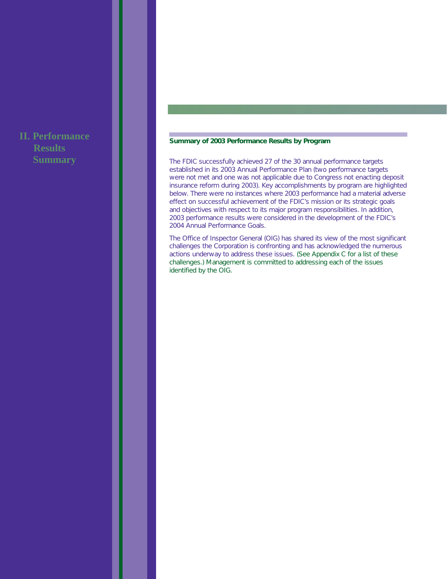# **II. Performance Results Summary**

### **Summary of 2003 Performance Results by Program**

The FDIC successfully achieved 27 of the 30 annual performance targets established in its 2003 Annual Performance Plan (two performance targets were not met and one was not applicable due to Congress not enacting deposit insurance reform during 2003). Key accomplishments by program are highlighted below. There were no instances where 2003 performance had a material adverse effect on successful achievement of the FDIC's mission or its strategic goals and objectives with respect to its major program responsibilities. In addition, 2003 performance results were considered in the development of the FDIC's 2004 Annual Performance Goals.

The Office of Inspector General (OIG) has shared its view of the most significant challenges the Corporation is confronting and has acknowledged the numerous actions underway to address these issues. (See Appendix C for a list of these challenges.) Management is committed to addressing each of the issues identified by the OIG.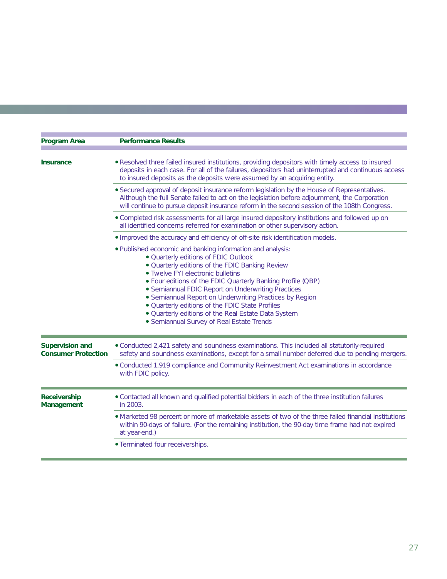| <b>Program Area</b>                                  | <b>Performance Results</b>                                                                                                                                                                                                                                                                                                                                                                                                                                                                                                        |
|------------------------------------------------------|-----------------------------------------------------------------------------------------------------------------------------------------------------------------------------------------------------------------------------------------------------------------------------------------------------------------------------------------------------------------------------------------------------------------------------------------------------------------------------------------------------------------------------------|
| Insurance                                            | . Resolved three failed insured institutions, providing depositors with timely access to insured<br>deposits in each case. For all of the failures, depositors had uninterrupted and continuous access<br>to insured deposits as the deposits were assumed by an acquiring entity.                                                                                                                                                                                                                                                |
|                                                      | • Secured approval of deposit insurance reform legislation by the House of Representatives.<br>Although the full Senate failed to act on the legislation before adjournment, the Corporation<br>will continue to pursue deposit insurance reform in the second session of the 108th Congress.                                                                                                                                                                                                                                     |
|                                                      | . Completed risk assessments for all large insured depository institutions and followed up on<br>all identified concerns referred for examination or other supervisory action.                                                                                                                                                                                                                                                                                                                                                    |
|                                                      | . Improved the accuracy and efficiency of off-site risk identification models.                                                                                                                                                                                                                                                                                                                                                                                                                                                    |
|                                                      | . Published economic and banking information and analysis:<br>· Quarterly editions of FDIC Outlook<br>. Quarterly editions of the FDIC Banking Review<br>• Twelve FYI electronic bulletins<br>. Four editions of the FDIC Quarterly Banking Profile (QBP)<br>· Semiannual FDIC Report on Underwriting Practices<br>• Semiannual Report on Underwriting Practices by Region<br>. Quarterly editions of the FDIC State Profiles<br>. Quarterly editions of the Real Estate Data System<br>• Semiannual Survey of Real Estate Trends |
| <b>Supervision and</b><br><b>Consumer Protection</b> | • Conducted 2,421 safety and soundness examinations. This included all statutorily-required<br>safety and soundness examinations, except for a small number deferred due to pending mergers.                                                                                                                                                                                                                                                                                                                                      |
|                                                      | • Conducted 1,919 compliance and Community Reinvestment Act examinations in accordance<br>with FDIC policy.                                                                                                                                                                                                                                                                                                                                                                                                                       |
| Receivership<br>Management                           | . Contacted all known and qualified potential bidders in each of the three institution failures<br>in 2003.                                                                                                                                                                                                                                                                                                                                                                                                                       |
|                                                      | • Marketed 98 percent or more of marketable assets of two of the three failed financial institutions<br>within 90-days of failure. (For the remaining institution, the 90-day time frame had not expired<br>at year-end.)                                                                                                                                                                                                                                                                                                         |
|                                                      | · Terminated four receiverships.                                                                                                                                                                                                                                                                                                                                                                                                                                                                                                  |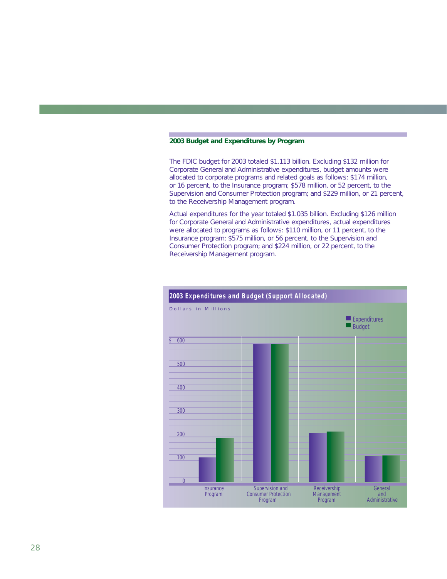#### **2003 Budget and Expenditures by Program**

The FDIC budget for 2003 totaled \$1.113 billion. Excluding \$132 million for Corporate General and Administrative expenditures, budget amounts were allocated to corporate programs and related goals as follows: \$174 million, or 16 percent, to the Insurance program; \$578 million, or 52 percent, to the Supervision and Consumer Protection program; and \$229 million, or 21 percent, to the Receivership Management program.

Actual expenditures for the year totaled \$1.035 billion. Excluding \$126 million for Corporate General and Administrative expenditures, actual expenditures were allocated to programs as follows: \$110 million, or 11 percent, to the Insurance program; \$575 million, or 56 percent, to the Supervision and Consumer Protection program; and \$224 million, or 22 percent, to the Receivership Management program.

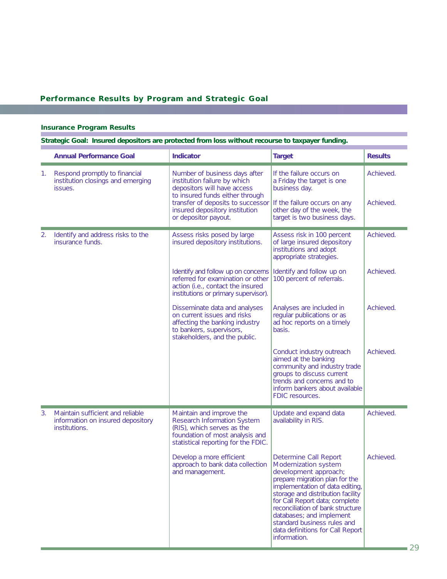# **Performance Results by Program and Strategic Goal**

### **Insurance Program Results**

**Strategic Goal: Insured depositors are protected from loss without recourse to taxpayer funding.**

|    | <b>Annual Performance Goal</b>                                                         | <b>Indicator</b>                                                                                                                                                                                                               | <b>Target</b>                                                                                                                                                                                                                                                                                                                                                         | <b>Results</b>         |
|----|----------------------------------------------------------------------------------------|--------------------------------------------------------------------------------------------------------------------------------------------------------------------------------------------------------------------------------|-----------------------------------------------------------------------------------------------------------------------------------------------------------------------------------------------------------------------------------------------------------------------------------------------------------------------------------------------------------------------|------------------------|
| 1. | Respond promptly to financial<br>institution closings and emerging<br>issues.          | Number of business days after<br>institution failure by which<br>depositors will have access<br>to insured funds either through<br>transfer of deposits to successor<br>insured depository institution<br>or depositor payout. | If the failure occurs on<br>a Friday the target is one<br>business day.<br>If the failure occurs on any<br>other day of the week, the<br>target is two business days.                                                                                                                                                                                                 | Achieved.<br>Achieved. |
| 2. | Identify and address risks to the<br>insurance funds.                                  | Assess risks posed by large<br>insured depository institutions.                                                                                                                                                                | Assess risk in 100 percent<br>of large insured depository<br>institutions and adopt<br>appropriate strategies.                                                                                                                                                                                                                                                        | Achieved.              |
|    |                                                                                        | Identify and follow up on concerns<br>referred for examination or other<br>action (i.e., contact the insured<br>institutions or primary supervisor).                                                                           | Identify and follow up on<br>100 percent of referrals.                                                                                                                                                                                                                                                                                                                | Achieved.              |
|    |                                                                                        | Disseminate data and analyses<br>on current issues and risks<br>affecting the banking industry<br>to bankers, supervisors,<br>stakeholders, and the public.                                                                    | Analyses are included in<br>regular publications or as<br>ad hoc reports on a timely<br>basis.                                                                                                                                                                                                                                                                        | Achieved.              |
|    |                                                                                        |                                                                                                                                                                                                                                | Conduct industry outreach<br>aimed at the banking<br>community and industry trade<br>groups to discuss current<br>trends and concerns and to<br>inform bankers about available<br>FDIC resources.                                                                                                                                                                     | Achieved.              |
| 3. | Maintain sufficient and reliable<br>information on insured depository<br>institutions. | Maintain and improve the<br>Research Information System<br>(RIS), which serves as the<br>foundation of most analysis and<br>statistical reporting for the FDIC.                                                                | Update and expand data<br>availability in RIS.                                                                                                                                                                                                                                                                                                                        | Achieved.              |
|    |                                                                                        | Develop a more efficient<br>approach to bank data collection<br>and management.                                                                                                                                                | Determine Call Report<br>Modernization system<br>development approach;<br>prepare migration plan for the<br>implementation of data editing,<br>storage and distribution facility<br>for Call Report data; complete<br>reconciliation of bank structure<br>databases; and implement<br>standard business rules and<br>data definitions for Call Report<br>information. | Achieved.              |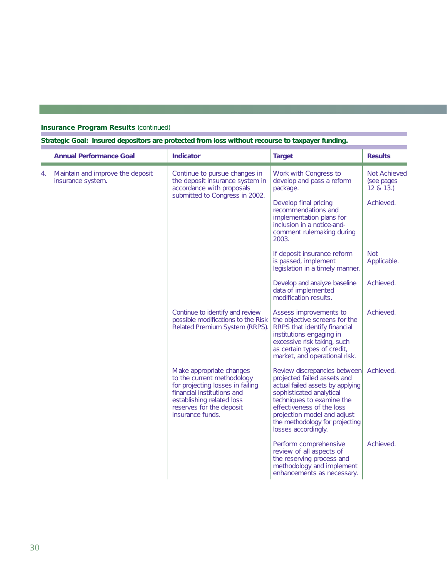# **Insurance Program Results (continued)**

### **Strategic Goal: Insured depositors are protected from loss without recourse to taxpayer funding.**

|    | <b>Annual Performance Goal</b>                        | <b>Indicator</b>                                                                                                                                                                                      | <b>Target</b>                                                                                                                                                                                                                                                                 | <b>Results</b>                          |
|----|-------------------------------------------------------|-------------------------------------------------------------------------------------------------------------------------------------------------------------------------------------------------------|-------------------------------------------------------------------------------------------------------------------------------------------------------------------------------------------------------------------------------------------------------------------------------|-----------------------------------------|
| 4. | Maintain and improve the deposit<br>insurance system. | Continue to pursue changes in<br>the deposit insurance system in<br>accordance with proposals                                                                                                         | Work with Congress to<br>develop and pass a reform<br>package.                                                                                                                                                                                                                | Not Achieved<br>(see pages)<br>12 & 13. |
|    |                                                       | submitted to Congress in 2002.                                                                                                                                                                        | Develop final pricing<br>recommendations and<br>implementation plans for<br>inclusion in a notice-and-<br>comment rulemaking during<br>2003.                                                                                                                                  | Achieved.                               |
|    |                                                       |                                                                                                                                                                                                       | If deposit insurance reform<br>is passed, implement<br>legislation in a timely manner.                                                                                                                                                                                        | <b>Not</b><br>Applicable.               |
|    |                                                       |                                                                                                                                                                                                       | Develop and analyze baseline<br>data of implemented<br>modification results.                                                                                                                                                                                                  | Achieved.                               |
|    |                                                       | Continue to identify and review<br>possible modifications to the Risk<br>Related Premium System (RRPS).                                                                                               | Assess improvements to<br>the objective screens for the<br>RRPS that identify financial<br>institutions engaging in<br>excessive risk taking, such<br>as certain types of credit,<br>market, and operational risk.                                                            | Achieved.                               |
|    |                                                       | Make appropriate changes<br>to the current methodology<br>for projecting losses in failing<br>financial institutions and<br>establishing related loss<br>reserves for the deposit<br>insurance funds. | Review discrepancies between<br>projected failed assets and<br>actual failed assets by applying<br>sophisticated analytical<br>techniques to examine the<br>effectiveness of the loss<br>projection model and adjust<br>the methodology for projecting<br>losses accordingly. | Achieved.                               |
|    |                                                       |                                                                                                                                                                                                       | Perform comprehensive<br>review of all aspects of<br>the reserving process and<br>methodology and implement<br>enhancements as necessary.                                                                                                                                     | Achieved.                               |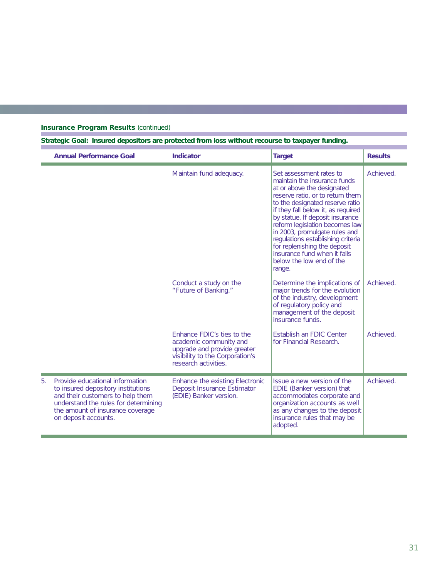# **Insurance Program Results (continued)**

**Strategic Goal: Insured depositors are protected from loss without recourse to taxpayer funding.**

|    | <b>Annual Performance Goal</b>                                                                                                                                                                                | Indicator                                                                                                                                      | <b>Target</b>                                                                                                                                                                                                                                                                                                                                                                                                                                       | <b>Results</b> |
|----|---------------------------------------------------------------------------------------------------------------------------------------------------------------------------------------------------------------|------------------------------------------------------------------------------------------------------------------------------------------------|-----------------------------------------------------------------------------------------------------------------------------------------------------------------------------------------------------------------------------------------------------------------------------------------------------------------------------------------------------------------------------------------------------------------------------------------------------|----------------|
|    |                                                                                                                                                                                                               | Maintain fund adequacy.                                                                                                                        | Set assessment rates to<br>maintain the insurance funds<br>at or above the designated<br>reserve ratio, or to return them<br>to the designated reserve ratio<br>if they fall below it, as required<br>by statue. If deposit insurance<br>reform legislation becomes law<br>in 2003, promulgate rules and<br>regulations establishing criteria<br>for replenishing the deposit<br>insurance fund when it falls<br>below the low end of the<br>range. | Achieved.      |
|    |                                                                                                                                                                                                               | Conduct a study on the<br>"Future of Banking."                                                                                                 | Determine the implications of<br>major trends for the evolution<br>of the industry, development<br>of regulatory policy and<br>management of the deposit<br>insurance funds.                                                                                                                                                                                                                                                                        | Achieved.      |
|    |                                                                                                                                                                                                               | Enhance FDIC's ties to the<br>academic community and<br>upgrade and provide greater<br>visibility to the Corporation's<br>research activities. | Establish an FDIC Center<br>for Financial Research.                                                                                                                                                                                                                                                                                                                                                                                                 | Achieved.      |
| 5. | Provide educational information<br>to insured depository institutions<br>and their customers to help them<br>understand the rules for determining<br>the amount of insurance coverage<br>on deposit accounts. | Enhance the existing Electronic<br>Deposit Insurance Estimator<br>(EDIE) Banker version.                                                       | Issue a new version of the<br>EDIE (Banker version) that<br>accommodates corporate and<br>organization accounts as well<br>as any changes to the deposit<br>insurance rules that may be<br>adopted.                                                                                                                                                                                                                                                 | Achieved.      |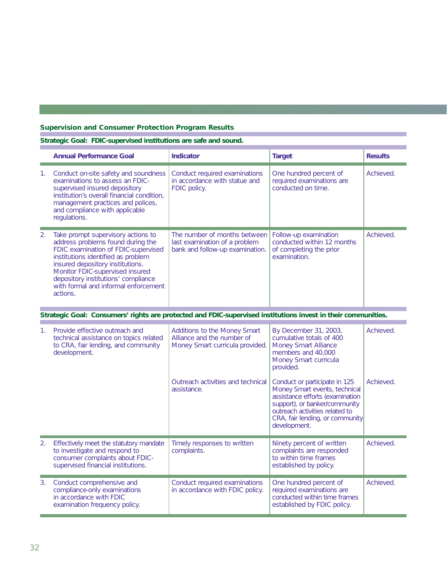# **Supervision and Consumer Protection Program Results**

### **Strategic Goal: FDIC-supervised institutions are safe and sound.**

|             | <b>Annual Performance Goal</b>                                                                                                                                                                                                                                                                                         | <b>Indicator</b>                                                                                 | <b>Target</b>                                                                                                                                                                                                           | <b>Results</b> |
|-------------|------------------------------------------------------------------------------------------------------------------------------------------------------------------------------------------------------------------------------------------------------------------------------------------------------------------------|--------------------------------------------------------------------------------------------------|-------------------------------------------------------------------------------------------------------------------------------------------------------------------------------------------------------------------------|----------------|
| 1.          | Conduct on-site safety and soundness<br>examinations to assess an FDIC-<br>supervised insured depository<br>institution's overall financial condition,<br>management practices and polices,<br>and compliance with applicable<br>regulations.                                                                          | Conduct required examinations<br>in accordance with statue and<br>FDIC policy.                   | One hundred percent of<br>required examinations are<br>conducted on time.                                                                                                                                               | Achieved.      |
| 2.          | Take prompt supervisory actions to<br>address problems found during the<br>FDIC examination of FDIC-supervised<br>institutions identified as problem<br>insured depository institutions.<br>Monitor FDIC-supervised insured<br>depository institutions' compliance<br>with formal and informal enforcement<br>actions. | The number of months between<br>last examination of a problem<br>bank and follow-up examination. | Follow-up examination<br>conducted within 12 months<br>of completing the prior<br>examination.                                                                                                                          | Achieved.      |
|             | Strategic Goal: Consumers' rights are protected and FDIC-supervised institutions invest in their communities.                                                                                                                                                                                                          |                                                                                                  |                                                                                                                                                                                                                         |                |
| $1_{\cdot}$ | Provide effective outreach and<br>technical assistance on topics related<br>to CRA, fair lending, and community<br>development.                                                                                                                                                                                        | Additions to the Money Smart<br>Alliance and the number of<br>Money Smart curricula provided.    | By December 31, 2003,<br>cumulative totals of 400<br>Money Smart Alliance<br>members and 40,000<br>Money Smart curricula<br>provided.                                                                                   | Achieved.      |
|             |                                                                                                                                                                                                                                                                                                                        | Outreach activities and technical<br>assistance.                                                 | Conduct or participate in 125<br>Money Smart events, technical<br>assistance efforts (examination<br>support), or banker/community<br>outreach activities related to<br>CRA, fair lending, or community<br>development. | Achieved.      |
| 2.          | Effectively meet the statutory mandate<br>to investigate and respond to<br>consumer complaints about FDIC-<br>supervised financial institutions.                                                                                                                                                                       | Timely responses to written<br>complaints.                                                       | Ninety percent of written<br>complaints are responded<br>to within time frames<br>established by policy.                                                                                                                | Achieved.      |

| Conduct comprehensive and<br>compliance-only examinations<br>in accordance with FDIC<br>examination frequency policy. | Conduct required examinations<br>in accordance with FDIC policy. | One hundred percent of<br>required examinations are<br>conducted within time frames<br>established by FDIC policy. | Achieved. |
|-----------------------------------------------------------------------------------------------------------------------|------------------------------------------------------------------|--------------------------------------------------------------------------------------------------------------------|-----------|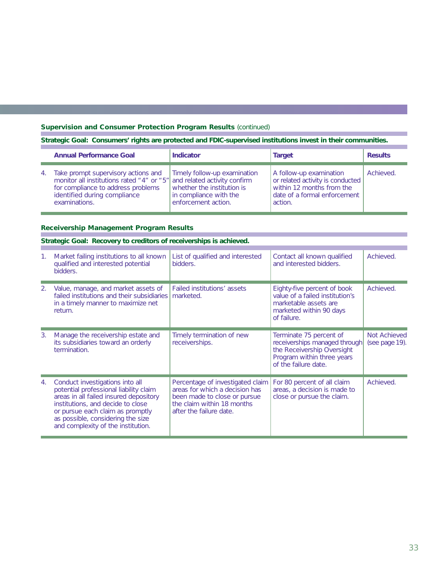### **Supervision and Consumer Protection Program Results (continued)**

**Strategic Goal: Consumers' rights are protected and FDIC-supervised institutions invest in their communities.**

|    | <b>Annual Performance Goal</b>                                                                                                                                                                       | <b>Indicator</b>                                                                                            | <b>Target</b>                                                                                                                       | <b>Results</b> |
|----|------------------------------------------------------------------------------------------------------------------------------------------------------------------------------------------------------|-------------------------------------------------------------------------------------------------------------|-------------------------------------------------------------------------------------------------------------------------------------|----------------|
| 4. | Take prompt supervisory actions and<br>monitor all institutions rated "4" or "5" and related activity confirm<br>for compliance to address problems<br>identified during compliance<br>examinations. | Timely follow-up examination<br>whether the institution is<br>in compliance with the<br>enforcement action. | A follow-up examination<br>or related activity is conducted<br>within 12 months from the<br>date of a formal enforcement<br>action. | Achieved.      |

### **Receivership Management Program Results**

|    | Strategic Goal: Recovery to creditors of receiverships is achieved.                                                                                                                                                                                                     |                                                                                                                                                             |                                                                                                                                              |                                |  |  |  |  |
|----|-------------------------------------------------------------------------------------------------------------------------------------------------------------------------------------------------------------------------------------------------------------------------|-------------------------------------------------------------------------------------------------------------------------------------------------------------|----------------------------------------------------------------------------------------------------------------------------------------------|--------------------------------|--|--|--|--|
| 1. | Market failing institutions to all known<br>qualified and interested potential<br>bidders.                                                                                                                                                                              | List of qualified and interested<br>bidders.                                                                                                                | Contact all known qualified<br>and interested bidders.                                                                                       | Achieved.                      |  |  |  |  |
| 2. | Value, manage, and market assets of<br>failed institutions and their subsidiaries<br>in a timely manner to maximize net<br>return.                                                                                                                                      | Failed institutions' assets<br>marketed.                                                                                                                    | Eighty-five percent of book<br>value of a failed institution's<br>marketable assets are<br>marketed within 90 days<br>of failure.            | Achieved.                      |  |  |  |  |
| 3. | Manage the receivership estate and<br>its subsidiaries toward an orderly<br>termination.                                                                                                                                                                                | Timely termination of new<br>receiverships.                                                                                                                 | Terminate 75 percent of<br>receiverships managed through<br>the Receivership Oversight<br>Program within three years<br>of the failure date. | Not Achieved<br>(see page 19). |  |  |  |  |
| 4. | Conduct investigations into all<br>potential professional liability claim<br>areas in all failed insured depository<br>institutions, and decide to close<br>or pursue each claim as promptly<br>as possible, considering the size<br>and complexity of the institution. | Percentage of investigated claim<br>areas for which a decision has<br>been made to close or pursue<br>the claim within 18 months<br>after the failure date. | For 80 percent of all claim<br>areas, a decision is made to<br>close or pursue the claim.                                                    | Achieved.                      |  |  |  |  |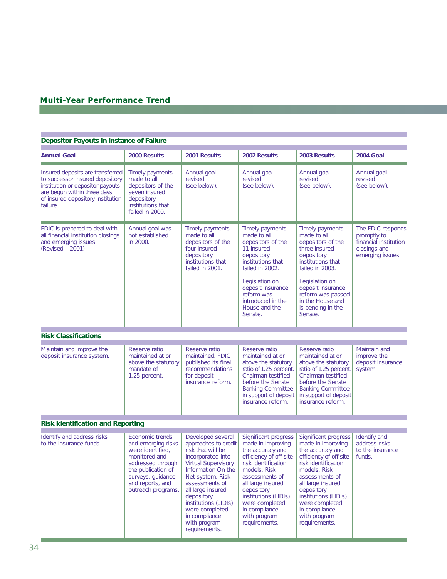# **Multi-Year Performance Trend**

#### **Depositor Payouts in Instance of Failure**

 $\sim 10^{11}$ 

| <b>Annual Goal</b>                                                                                                                                                                      | 2000 Results                                                                                                                                                                         | 2001 Results                                                                                                                                                                                                                                                                                                 | 2002 Results                                                                                                                                                                                                                                                                    | 2003 Results                                                                                                                                                                                                                                                                    | <b>2004 Goal</b>                                                                              |
|-----------------------------------------------------------------------------------------------------------------------------------------------------------------------------------------|--------------------------------------------------------------------------------------------------------------------------------------------------------------------------------------|--------------------------------------------------------------------------------------------------------------------------------------------------------------------------------------------------------------------------------------------------------------------------------------------------------------|---------------------------------------------------------------------------------------------------------------------------------------------------------------------------------------------------------------------------------------------------------------------------------|---------------------------------------------------------------------------------------------------------------------------------------------------------------------------------------------------------------------------------------------------------------------------------|-----------------------------------------------------------------------------------------------|
| Insured deposits are transferred<br>to successor insured depository<br>institution or depositor payouts<br>are begun within three days<br>of insured depository institution<br>failure. | Timely payments<br>made to all<br>depositors of the<br>seven insured<br>depository<br>institutions that<br>failed in 2000.                                                           | Annual goal<br>revised<br>(see below).                                                                                                                                                                                                                                                                       | Annual goal<br>revised<br>(see below).                                                                                                                                                                                                                                          | Annual goal<br>revised<br>(see below).                                                                                                                                                                                                                                          | Annual goal<br>revised<br>(see below).                                                        |
| FDIC is prepared to deal with<br>all financial institution closings<br>and emerging issues.<br>(Revised - 2001)                                                                         | Annual goal was<br>not established<br>in 2000.                                                                                                                                       | Timely payments<br>made to all<br>depositors of the<br>four insured<br>depository<br>institutions that<br>failed in 2001.                                                                                                                                                                                    | Timely payments<br>made to all<br>depositors of the<br>11 insured<br>depository<br>institutions that<br>failed in 2002.<br>Legislation on<br>deposit insurance<br>reform was<br>introduced in the<br>House and the<br>Senate.                                                   | Timely payments<br>made to all<br>depositors of the<br>three insured<br>depository<br>institutions that<br>failed in 2003.<br>Legislation on<br>deposit insurance<br>reform was passed<br>in the House and<br>is pending in the<br>Senate.                                      | The FDIC responds<br>promptly to<br>financial institution<br>closings and<br>emerging issues. |
| <b>Risk Classifications</b>                                                                                                                                                             |                                                                                                                                                                                      |                                                                                                                                                                                                                                                                                                              |                                                                                                                                                                                                                                                                                 |                                                                                                                                                                                                                                                                                 |                                                                                               |
| Maintain and improve the<br>deposit insurance system.                                                                                                                                   | Reserve ratio<br>maintained at or<br>above the statutory<br>mandate of<br>1.25 percent.                                                                                              | Reserve ratio<br>maintained. FDIC<br>published its final<br>recommendations<br>for deposit<br>insurance reform.                                                                                                                                                                                              | Reserve ratio<br>maintained at or<br>above the statutory<br>ratio of 1.25 percent.<br>Chairman testified<br>before the Senate<br><b>Banking Committee</b><br>in support of deposit<br>insurance reform.                                                                         | Reserve ratio<br>maintained at or<br>above the statutory<br>ratio of 1.25 percent.<br>Chairman testified<br>before the Senate<br><b>Banking Committee</b><br>in support of deposit<br>insurance reform.                                                                         | Maintain and<br>improve the<br>deposit insurance<br>system.                                   |
| <b>Risk Identification and Reporting</b>                                                                                                                                                |                                                                                                                                                                                      |                                                                                                                                                                                                                                                                                                              |                                                                                                                                                                                                                                                                                 |                                                                                                                                                                                                                                                                                 |                                                                                               |
| Identify and address risks<br>to the insurance funds.                                                                                                                                   | Economic trends<br>and emerging risks<br>were identified,<br>monitored and<br>addressed through<br>the publication of<br>surveys, guidance<br>and reports, and<br>outreach programs. | Developed several<br>approaches to credit<br>risk that will be<br>incorporated into<br><b>Virtual Supervisory</b><br>Information On the<br>Net system. Risk<br>assessments of<br>all large insured<br>depository<br>institutions (LIDIs)<br>were completed<br>in compliance<br>with program<br>requirements. | Significant progress<br>made in improving<br>the accuracy and<br>efficiency of off-site<br>risk identification<br>models. Risk<br>assessments of<br>all large insured<br>depository<br>institutions (LIDIs)<br>were completed<br>in compliance<br>with program<br>requirements. | Significant progress<br>made in improving<br>the accuracy and<br>efficiency of off-site<br>risk identification<br>models. Risk<br>assessments of<br>all large insured<br>depository<br>institutions (LIDIs)<br>were completed<br>in compliance<br>with program<br>requirements. | Identify and<br>address risks<br>to the insurance<br>funds.                                   |

a a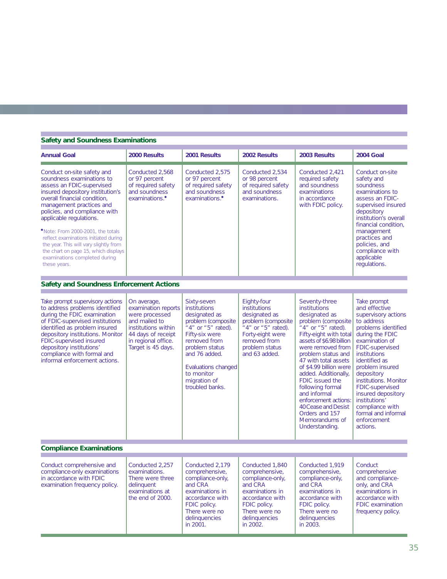#### **Safety and Soundness Examinations**

 $\sim$ 

| <b>Annual Goal</b>                                                                                                                                                                                                                                                                                                                                                                                                                                                | 2000 Results                                                                                                                                                    | 2001 Results                                                                                                                                                                                                                                  | 2002 Results                                                                                                                                                         | 2003 Results                                                                                                                                                                                                                                                                                                                                                                                                                             | <b>2004 Goal</b>                                                                                                                                                                                                                                                                                                                                                           |
|-------------------------------------------------------------------------------------------------------------------------------------------------------------------------------------------------------------------------------------------------------------------------------------------------------------------------------------------------------------------------------------------------------------------------------------------------------------------|-----------------------------------------------------------------------------------------------------------------------------------------------------------------|-----------------------------------------------------------------------------------------------------------------------------------------------------------------------------------------------------------------------------------------------|----------------------------------------------------------------------------------------------------------------------------------------------------------------------|------------------------------------------------------------------------------------------------------------------------------------------------------------------------------------------------------------------------------------------------------------------------------------------------------------------------------------------------------------------------------------------------------------------------------------------|----------------------------------------------------------------------------------------------------------------------------------------------------------------------------------------------------------------------------------------------------------------------------------------------------------------------------------------------------------------------------|
| Conduct on-site safety and<br>soundness examinations to<br>assess an FDIC-supervised<br>insured depository institution's<br>overall financial condition,<br>management practices and<br>policies, and compliance with<br>applicable regulations.<br>*Note: From 2000-2001, the totals<br>reflect examinations initiated during<br>the year. This will vary slightly from<br>the chart on page 15, which displays<br>examinations completed during<br>these years. | Conducted 2,568<br>or 97 percent<br>of required safety<br>and soundness<br>examinations. <sup>•</sup>                                                           | Conducted 2,575<br>or 97 percent<br>of required safety<br>and soundness<br>examinations. <sup>•</sup>                                                                                                                                         | Conducted 2,534<br>or 98 percent<br>of required safety<br>and soundness<br>examinations.                                                                             | Conducted 2,421<br>required safety<br>and soundness<br>examinations<br>in accordance<br>with FDIC policy.                                                                                                                                                                                                                                                                                                                                | Conduct on-site<br>safety and<br>soundness<br>examinations to<br>assess an FDIC-<br>supervised insured<br>depository<br>institution's overall<br>financial condition.<br>management<br>practices and<br>policies, and<br>compliance with<br>applicable<br>regulations.                                                                                                     |
| <b>Safety and Soundness Enforcement Actions</b>                                                                                                                                                                                                                                                                                                                                                                                                                   |                                                                                                                                                                 |                                                                                                                                                                                                                                               |                                                                                                                                                                      |                                                                                                                                                                                                                                                                                                                                                                                                                                          |                                                                                                                                                                                                                                                                                                                                                                            |
| Take prompt supervisory actions<br>to address problems identified<br>during the FDIC examination<br>of FDIC-supervised institutions<br>identified as problem insured<br>depository institutions. Monitor<br>FDIC-supervised insured<br>depository institutions'<br>compliance with formal and<br>informal enforcement actions.                                                                                                                                    | On average,<br>examination reports<br>were processed<br>and mailed to<br>institutions within<br>44 days of receipt<br>in regional office.<br>Target is 45 days. | Sixty-seven<br>institutions<br>designated as<br>problem (composite<br>" $4$ " or " $5$ " rated).<br>Fifty-six were<br>removed from<br>problem status<br>and 76 added.<br>Evaluations changed<br>to monitor<br>migration of<br>troubled banks. | Eighty-four<br>institutions<br>designated as<br>problem (composite<br>"4" or "5" rated).<br>Forty-eight were<br>removed from<br>problem status<br>and 63 added.      | Seventy-three<br>institutions<br>designated as<br>problem (composite<br>"4" or "5" rated).<br>Fifty-eight with total<br>assets of \$6.98 billion<br>were removed from<br>problem status and<br>47 with total assets<br>of \$4.99 billion were<br>added. Additionally,<br>FDIC issued the<br>following formal<br>and informal<br>enforcement actions:<br><b>40 Cease and Desist</b><br>Orders and 157<br>Memorandums of<br>Understanding. | Take prompt<br>and effective<br>supervisory actions<br>to address<br>problems identified<br>during the FDIC<br>examination of<br>FDIC-supervised<br>institutions<br>identified as<br>problem insured<br>depository<br>institutions. Monitor<br>FDIC-supervised<br>insured depository<br>institutions'<br>compliance with<br>formal and informal<br>enforcement<br>actions. |
| <b>Compliance Examinations</b>                                                                                                                                                                                                                                                                                                                                                                                                                                    |                                                                                                                                                                 |                                                                                                                                                                                                                                               |                                                                                                                                                                      |                                                                                                                                                                                                                                                                                                                                                                                                                                          |                                                                                                                                                                                                                                                                                                                                                                            |
| Conduct comprehensive and<br>compliance-only examinations<br>in accordance with FDIC<br>examination frequency policy.                                                                                                                                                                                                                                                                                                                                             | Conducted 2,257<br>examinations.<br>There were three<br>delinquent<br>examinations at<br>the end of 2000.                                                       | Conducted 2,179<br>comprehensive,<br>compliance-only,<br>and CRA<br>examinations in<br>accordance with<br>FDIC policy.<br>There were no<br>delinquencies<br>in 2001.                                                                          | Conducted 1,840<br>comprehensive,<br>compliance-only,<br>and CRA<br>examinations in<br>accordance with<br>FDIC policy.<br>There were no<br>delinquencies<br>in 2002. | Conducted 1,919<br>comprehensive,<br>compliance-only,<br>and CRA<br>examinations in<br>accordance with<br>FDIC policy.<br>There were no<br>delinquencies<br>in 2003.                                                                                                                                                                                                                                                                     | Conduct<br>comprehensive<br>and compliance-<br>only, and CRA<br>examinations in<br>accordance with<br>FDIC examination<br>frequency policy.                                                                                                                                                                                                                                |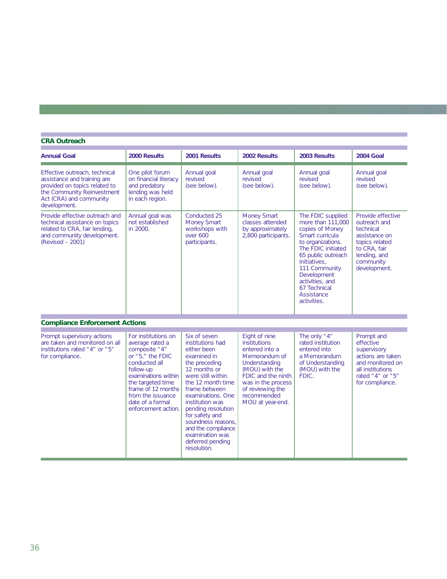# **CRA Outreach**

т

| <b>Annual Goal</b>                                                                                                                                                     | 2000 Results                                                                                                                                                                                                                                  | 2001 Results                                                                                                                                                                                                                                                                                                                                 | 2002 Results                                                                                                                                                                                           | 2003 Results                                                                                                                                                                                                                                                  | <b>2004 Goal</b>                                                                                                                               |
|------------------------------------------------------------------------------------------------------------------------------------------------------------------------|-----------------------------------------------------------------------------------------------------------------------------------------------------------------------------------------------------------------------------------------------|----------------------------------------------------------------------------------------------------------------------------------------------------------------------------------------------------------------------------------------------------------------------------------------------------------------------------------------------|--------------------------------------------------------------------------------------------------------------------------------------------------------------------------------------------------------|---------------------------------------------------------------------------------------------------------------------------------------------------------------------------------------------------------------------------------------------------------------|------------------------------------------------------------------------------------------------------------------------------------------------|
| Effective outreach, technical<br>assistance and training are<br>provided on topics related to<br>the Community Reinvestment<br>Act (CRA) and community<br>development. | One pilot forum<br>on financial literacy<br>and predatory<br>lending was held<br>in each region.                                                                                                                                              | Annual goal<br>revised<br>(see below).                                                                                                                                                                                                                                                                                                       | Annual goal<br>revised<br>(see below).                                                                                                                                                                 | Annual goal<br>revised<br>(see below).                                                                                                                                                                                                                        | Annual goal<br>revised<br>(see below).                                                                                                         |
| Provide effective outreach and<br>technical assistance on topics<br>related to CRA, fair lending,<br>and community development.<br>(Revised - 2001)                    | Annual goal was<br>not established<br>in 2000.                                                                                                                                                                                                | Conducted 25<br><b>Money Smart</b><br>workshops with<br>over 600<br>participants.                                                                                                                                                                                                                                                            | <b>Money Smart</b><br>classes attended<br>by approximately<br>2,800 participants.                                                                                                                      | The FDIC supplied<br>more than 111,000<br>copies of Money<br>Smart curricula<br>to organizations.<br>The FDIC initiated<br>65 public outreach<br>initiatives.<br>111 Community<br>Development<br>activities, and<br>67 Technical<br>Assistance<br>activities. | Provide effective<br>outreach and<br>technical<br>assistance on<br>topics related<br>to CRA, fair<br>lending, and<br>community<br>development. |
| <b>Compliance Enforcement Actions</b>                                                                                                                                  |                                                                                                                                                                                                                                               |                                                                                                                                                                                                                                                                                                                                              |                                                                                                                                                                                                        |                                                                                                                                                                                                                                                               |                                                                                                                                                |
| Prompt supervisory actions<br>are taken and monitored on all<br>institutions rated "4" or "5"<br>for compliance.                                                       | For institutions on<br>average rated a<br>composite "4"<br>or $"5,"$ the FDIC<br>conducted all<br>follow-up<br>examinations within<br>the targeted time<br>frame of 12 months<br>from the issuance<br>date of a formal<br>enforcement action. | Six of seven<br>institutions had<br>either been<br>examined in<br>the preceding<br>12 months or<br>were still within<br>the 12 month time<br>frame between<br>examinations. One<br>institution was<br>pending resolution<br>for safety and<br>soundness reasons.<br>and the compliance<br>examination was<br>deferred pending<br>resolution. | Eight of nine<br>institutions<br>entered into a<br>Memorandum of<br>Understanding<br>(MOU) with the<br>FDIC and the ninth<br>was in the process<br>of reviewing the<br>recommended<br>MOU at year-end. | The only "4"<br>rated institution<br>entered into<br>a Memorandum<br>of Understanding<br>(MOU) with the<br>FDIC.                                                                                                                                              | Prompt and<br>effective<br>supervisory<br>actions are taken<br>and monitored on<br>all institutions<br>rated "4" or "5"<br>for compliance.     |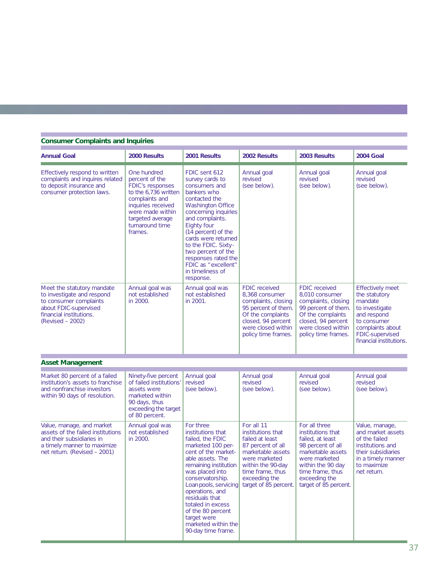#### **Consumer Complaints and Inquiries Annual Goal 2000 Results 2001 Results 2002 Results 2003 Results 2004 Goal** Effectively respond to written | One hundred | FDIC sent 612 | Annual goal | Annual goal | Annual goal complaints and inquires related percent of the survey cards to revised revised revised revised revised revised<br>to deposit insurance and FDIC's responses consumers and (see below). (see below). to deposit insurance and consumer protection laws. to the 6,736 written bankers who consumer protection laws. complaints and contacted the<br>inquiries received Washington Office inquiries received<br>were made within concerning inquiries<br>and complaints. targeted average turnaround time | Eighty four frames. (14 percent) of the cards were returned to the FDIC. Sixtytwo percent of the responses rated the FDIC as "excellent" in timeliness of response. Meet the statutory mandate Annual goal was Annual goal was FDIC received FDIC received Effectively meet<br>to investigate and respond not established to a stablished 8,368 consumer 8,010 consumer to investigate and respond not established not established 8,368 consumer 8,010 consumer the stature the statu<br>to consumer complaints dosing mandate to consumer complaints in 2000. in 2001. Complaints, closing complaints, closing mandate in the mandate of the m<br>about FDIC-supervised to investigate about FDIC-supervised about FDIC-supervised  $\begin{bmatrix} 11 & 22 & 36 \\ 1 & 36 & 6 \\ 1 & 36 & 6 \\ 1 & 36 & 6 \\ 1 & 36 & 6 \\ 1 & 1 & 1 \end{bmatrix}$  and respond them. The complaints of the complaints and respond institutions. financial institutions.<br>
(Revised – 2002) (Revised – 2002) (Closed, 94 percent closed, 94 percent closed, 94 percent consumer closed, 94 percent to consumer<br>were closed within were closed within were closed within complaints about policy time frames. policy time frames. **Asset Management** Market 80 percent of a failed Ninety-five percent Annual goal Annual goal Annual goal Annual goal Annual goal Annual goal Annual goal Annual goal Annual goal Annual goal Revised Revised institution's assets to franchise of failed institutions' revised revised revised revised revised revised revised revised revised revised revised revised revised revised revised revised revised revised revised revised revi and nonfranchise investors assets were within 90 days of resolution. (see all marketed within within 90 days of resolution. 90 days, thus exceeding the target of 80 percent. Value, manage, and market Annual goal was For three For all 11 For all three Value, manage, Value, manage, Value, manage, September 1991 For all three Value, manage, September 1991 For all three Value, manage, September 19 assets of the failed institutions not established institutions that institutions that institutions that and market and their subsidiaries in 2000.

and their subsidiaries in in 2000.<br>
a timely manner to maximize in 2000.<br>
I failed, the FDIC failed at least failed, at least of the failed institutions and<br>
institutions and a timely manner to maximize | states in the marketed 100 per- 87 percent of all 98 percent of all institutions and institutions and cent of the market- marketable assets marketable assets their subsidiaries

> Loan pools, servicing operations, and residuals that totaled in excess of the 80 percent target were marketed within the 90-day time frame.

net return. (Revised – 2001) cent of the market- marketable assets marketable assets marketed were marketed

financial institutions.

were marketed were marketed in a timely manner<br>within the 90 day to maximize

remaining institution within the 90-day within the 90 day to maximize was placed into time frame, thus the frame, thus  $\begin{array}{rcl}\n\text{time frame, thus} \\
\text{exceeding the} \\
\end{array}$ 

conservatorship. exceeding the exceeding the Loanpools, servicing target of 85 percent.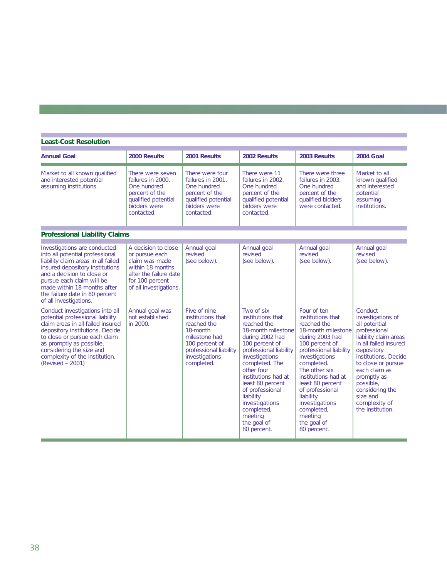| <b>Least-Cost Resolution</b>                                                                                                                                                                                                                                                                    |                                                                                                                                                    |                                                                                                                                                           |                                                                                                                                                                                                                                                                                                                                           |                                                                                                                                                                                                                                                                                                                                           |                                                                                                                                                                                                                                                                                              |
|-------------------------------------------------------------------------------------------------------------------------------------------------------------------------------------------------------------------------------------------------------------------------------------------------|----------------------------------------------------------------------------------------------------------------------------------------------------|-----------------------------------------------------------------------------------------------------------------------------------------------------------|-------------------------------------------------------------------------------------------------------------------------------------------------------------------------------------------------------------------------------------------------------------------------------------------------------------------------------------------|-------------------------------------------------------------------------------------------------------------------------------------------------------------------------------------------------------------------------------------------------------------------------------------------------------------------------------------------|----------------------------------------------------------------------------------------------------------------------------------------------------------------------------------------------------------------------------------------------------------------------------------------------|
| <b>Annual Goal</b>                                                                                                                                                                                                                                                                              | 2000 Results                                                                                                                                       | 2001 Results                                                                                                                                              | 2002 Results                                                                                                                                                                                                                                                                                                                              | 2003 Results                                                                                                                                                                                                                                                                                                                              | <b>2004 Goal</b>                                                                                                                                                                                                                                                                             |
| Market to all known qualified<br>and interested potential<br>assuming institutions.                                                                                                                                                                                                             | There were seven<br>failures in 2000.<br>One hundred<br>percent of the<br>qualified potential<br>bidders were<br>contacted.                        | There were four<br>failures in 2001.<br>One hundred<br>percent of the<br>qualified potential<br>bidders were<br>contacted.                                | There were 11<br>failures in 2002.<br>One hundred<br>percent of the<br>qualified potential<br>bidders were<br>contacted.                                                                                                                                                                                                                  | There were three<br>failures in 2003.<br>One hundred<br>percent of the<br>qualified bidders<br>were contacted.                                                                                                                                                                                                                            | Market to all<br>known qualified<br>and interested<br>potential<br>assuming<br>institutions.                                                                                                                                                                                                 |
| <b>Professional Liability Claims</b>                                                                                                                                                                                                                                                            |                                                                                                                                                    |                                                                                                                                                           |                                                                                                                                                                                                                                                                                                                                           |                                                                                                                                                                                                                                                                                                                                           |                                                                                                                                                                                                                                                                                              |
| Investigations are conducted<br>into all potential professional<br>liability claim areas in all failed<br>insured depository institutions<br>and a decision to close or<br>pursue each claim will be<br>made within 18 months after<br>the failure date in 80 percent<br>of all investigations. | A decision to close<br>or pursue each<br>claim was made<br>within 18 months<br>after the failure date<br>for 100 percent<br>of all investigations. | Annual goal<br>revised<br>(see below).                                                                                                                    | Annual goal<br>revised<br>(see below).                                                                                                                                                                                                                                                                                                    | Annual goal<br>revised<br>(see below).                                                                                                                                                                                                                                                                                                    | Annual goal<br>revised<br>(see below).                                                                                                                                                                                                                                                       |
| Conduct investigations into all<br>potential professional liability<br>claim areas in all failed insured<br>depository institutions. Decide<br>to close or pursue each claim<br>as promptly as possible,<br>considering the size and<br>complexity of the institution.<br>(Revised - 2001)      | Annual goal was<br>not established<br>in 2000.                                                                                                     | Five of nine<br>institutions that<br>reached the<br>18-month<br>milestone had<br>100 percent of<br>professional liability<br>investigations<br>completed. | Two of six<br>institutions that<br>reached the<br>18-month milestone<br>during 2002 had<br>100 percent of<br>professional liability<br>investigations<br>completed. The<br>other four<br>institutions had at<br>least 80 percent<br>of professional<br>liability<br>investigations<br>completed,<br>meeting<br>the goal of<br>80 percent. | Four of ten<br>institutions that<br>reached the<br>18-month milestone<br>during 2003 had<br>100 percent of<br>professional liability<br>investigations<br>completed.<br>The other six<br>institutions had at<br>least 80 percent<br>of professional<br>liability<br>investigations<br>completed,<br>meeting<br>the goal of<br>80 percent. | Conduct<br>investigations of<br>all potential<br>professional<br>liability claim areas<br>in all failed insured<br>depository<br>institutions. Decide<br>to close or pursue<br>each claim as<br>promptly as<br>possible,<br>considering the<br>size and<br>complexity of<br>the institution. |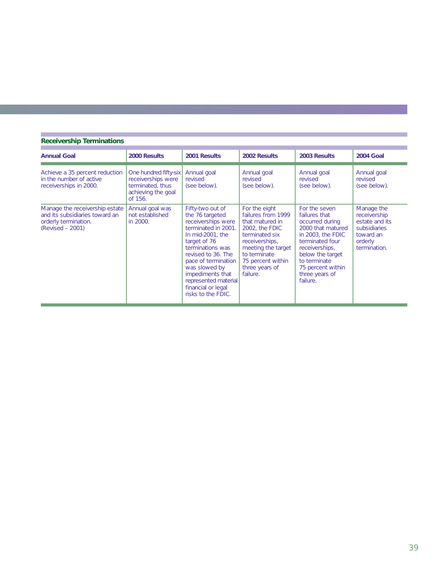| <b>Receivership Terminations</b>                                                                               |                                                                                                  |                                                                                                                                                                                                                                                                                                |                                                                                                                                                                                                       |                                                                                                                                                                                                                         |                                                                                                      |  |
|----------------------------------------------------------------------------------------------------------------|--------------------------------------------------------------------------------------------------|------------------------------------------------------------------------------------------------------------------------------------------------------------------------------------------------------------------------------------------------------------------------------------------------|-------------------------------------------------------------------------------------------------------------------------------------------------------------------------------------------------------|-------------------------------------------------------------------------------------------------------------------------------------------------------------------------------------------------------------------------|------------------------------------------------------------------------------------------------------|--|
| <b>Annual Goal</b>                                                                                             | 2000 Results                                                                                     | 2001 Results                                                                                                                                                                                                                                                                                   | 2002 Results                                                                                                                                                                                          | 2003 Results                                                                                                                                                                                                            | <b>2004 Goal</b>                                                                                     |  |
| Achieve a 35 percent reduction<br>in the number of active<br>receiverships in 2000.                            | One hundred fifty-six<br>receiverships were<br>terminated, thus<br>achieving the goal<br>of 156. | Annual goal<br>revised<br>(see below).                                                                                                                                                                                                                                                         | Annual goal<br>revised<br>(see below).                                                                                                                                                                | Annual goal<br>revised<br>(see below).                                                                                                                                                                                  | Annual goal<br>revised<br>(see below).                                                               |  |
| Manage the receivership estate<br>and its subsidiaries toward an<br>orderly termination.<br>$(Revised - 2001)$ | Annual goal was<br>not established<br>in 2000.                                                   | Fifty-two out of<br>the 76 targeted<br>receiverships were<br>terminated in 2001.<br>In mid-2001, the<br>target of 76<br>terminations was<br>revised to 36. The<br>pace of termination<br>was slowed by<br>impediments that<br>represented material<br>financial or legal<br>risks to the FDIC. | For the eight<br>failures from 1999<br>that matured in<br>2002, the FDIC<br>terminated six<br>receiverships,<br>meeting the target<br>to terminate<br>75 percent within<br>three years of<br>failure. | For the seven<br>failures that<br>occurred during<br>2000 that matured<br>in 2003, the FDIC<br>terminated four<br>receiverships,<br>below the target<br>to terminate<br>75 percent within<br>three years of<br>failure. | Manage the<br>receivership<br>estate and its<br>subsidiaries<br>toward an<br>orderly<br>termination. |  |

×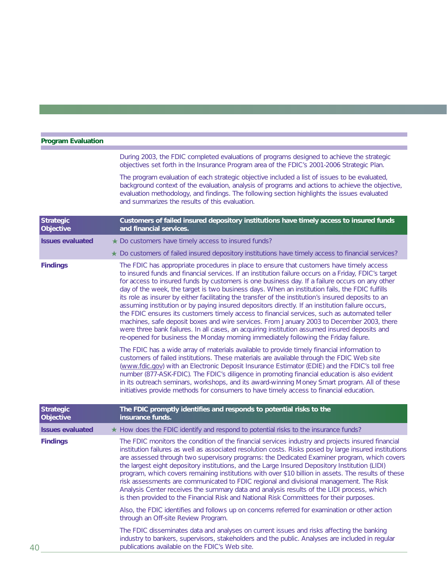| <b>Program Evaluation</b>            |                                                                                                                                                                                                                                                                                                                                                                                                                                                                                                                                                                                                                                                                                                                                                                                                                                                                                                                                                                                                      |  |  |  |  |
|--------------------------------------|------------------------------------------------------------------------------------------------------------------------------------------------------------------------------------------------------------------------------------------------------------------------------------------------------------------------------------------------------------------------------------------------------------------------------------------------------------------------------------------------------------------------------------------------------------------------------------------------------------------------------------------------------------------------------------------------------------------------------------------------------------------------------------------------------------------------------------------------------------------------------------------------------------------------------------------------------------------------------------------------------|--|--|--|--|
|                                      | During 2003, the FDIC completed evaluations of programs designed to achieve the strategic<br>objectives set forth in the Insurance Program area of the FDIC's 2001-2006 Strategic Plan.                                                                                                                                                                                                                                                                                                                                                                                                                                                                                                                                                                                                                                                                                                                                                                                                              |  |  |  |  |
|                                      | The program evaluation of each strategic objective included a list of issues to be evaluated,<br>background context of the evaluation, analysis of programs and actions to achieve the objective,<br>evaluation methodology, and findings. The following section highlights the issues evaluated<br>and summarizes the results of this evaluation.                                                                                                                                                                                                                                                                                                                                                                                                                                                                                                                                                                                                                                                   |  |  |  |  |
| <b>Strategic</b><br>Objective        | Customers of failed insured depository institutions have timely access to insured funds<br>and financial services.                                                                                                                                                                                                                                                                                                                                                                                                                                                                                                                                                                                                                                                                                                                                                                                                                                                                                   |  |  |  |  |
| <b>Issues evaluated</b>              | ★ Do customers have timely access to insured funds?                                                                                                                                                                                                                                                                                                                                                                                                                                                                                                                                                                                                                                                                                                                                                                                                                                                                                                                                                  |  |  |  |  |
|                                      | ★ Do customers of failed insured depository institutions have timely access to financial services?                                                                                                                                                                                                                                                                                                                                                                                                                                                                                                                                                                                                                                                                                                                                                                                                                                                                                                   |  |  |  |  |
| <b>Findings</b>                      | The FDIC has appropriate procedures in place to ensure that customers have timely access<br>to insured funds and financial services. If an institution failure occurs on a Friday, FDIC's target<br>for access to insured funds by customers is one business day. If a failure occurs on any other<br>day of the week, the target is two business days. When an institution fails, the FDIC fulfills<br>its role as insurer by either facilitating the transfer of the institution's insured deposits to an<br>assuming institution or by paying insured depositors directly. If an institution failure occurs,<br>the FDIC ensures its customers timely access to financial services, such as automated teller<br>machines, safe deposit boxes and wire services. From January 2003 to December 2003, there<br>were three bank failures. In all cases, an acquiring institution assumed insured deposits and<br>re-opened for business the Monday morning immediately following the Friday failure. |  |  |  |  |
|                                      | The FDIC has a wide array of materials available to provide timely financial information to<br>customers of failed institutions. These materials are available through the FDIC Web site<br>(www.fdic.gov) with an Electronic Deposit Insurance Estimator (EDIE) and the FDIC's toll free<br>number (877-ASK-FDIC). The FDIC's diligence in promoting financial education is also evident<br>in its outreach seminars, workshops, and its award-winning Money Smart program. All of these<br>initiatives provide methods for consumers to have timely access to financial education.                                                                                                                                                                                                                                                                                                                                                                                                                 |  |  |  |  |
| <b>Strategic</b><br><b>Objective</b> | The FDIC promptly identifies and responds to potential risks to the<br>insurance funds.                                                                                                                                                                                                                                                                                                                                                                                                                                                                                                                                                                                                                                                                                                                                                                                                                                                                                                              |  |  |  |  |
| <b>Issues evaluated</b>              | ★ How does the FDIC identify and respond to potential risks to the insurance funds?                                                                                                                                                                                                                                                                                                                                                                                                                                                                                                                                                                                                                                                                                                                                                                                                                                                                                                                  |  |  |  |  |
| <b>Findings</b><br>40                | The FDIC monitors the condition of the financial services industry and projects insured financial<br>institution failures as well as associated resolution costs. Risks posed by large insured institutions<br>are assessed through two supervisory programs: the Dedicated Examiner program, which covers<br>the largest eight depository institutions, and the Large Insured Depository Institution (LIDI)<br>program, which covers remaining institutions with over \$10 billion in assets. The results of these<br>risk assessments are communicated to FDIC regional and divisional management. The Risk<br>Analysis Center receives the summary data and analysis results of the LIDI process, which<br>is then provided to the Financial Risk and National Risk Committees for their purposes.                                                                                                                                                                                                |  |  |  |  |
|                                      | Also, the FDIC identifies and follows up on concerns referred for examination or other action<br>through an Off-site Review Program.                                                                                                                                                                                                                                                                                                                                                                                                                                                                                                                                                                                                                                                                                                                                                                                                                                                                 |  |  |  |  |
|                                      | The FDIC disseminates data and analyses on current issues and risks affecting the banking<br>industry to bankers, supervisors, stakeholders and the public. Analyses are included in regular<br>publications available on the FDIC's Web site.                                                                                                                                                                                                                                                                                                                                                                                                                                                                                                                                                                                                                                                                                                                                                       |  |  |  |  |